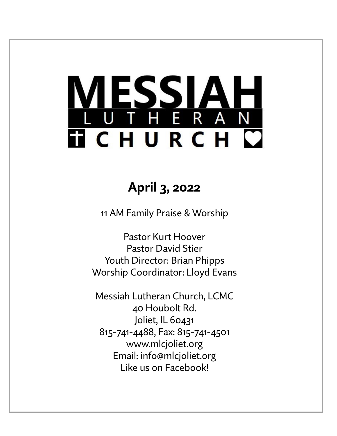# <u>ESSIA</u> THERAN **TICHURCH C**

# **April 3, 2022**

11 AM Family Praise & Worship

Pastor Kurt Hoover Pastor David Stier Youth Director: Brian Phipps Worship Coordinator: Lloyd Evans

Messiah Lutheran Church, LCMC 40 Houbolt Rd. Joliet, IL 60431 815-741-4488, Fax: 815-741-4501 www.mlcjoliet.org Email: info@mlcjoliet.org Like us on Facebook!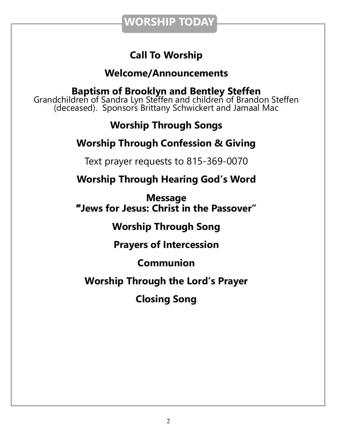**WORSHIP TODAY**

### **Call To Worship**

### **Welcome/Announcements**

**Baptism of Brooklyn and Bentley Steffen** Grandchildren of Sandra Lyn Steffen and children of Brandon Steffen (deceased). Sponsors Brittany Schwickert and Jamaal Mac

### **Worship Through Songs**

### **Worship Through Confession & Giving**

Text prayer requests to 815-369-0070

**Worship Through Hearing God's Word**

**Message "Jews for Jesus: Christ in the Passover"**

**Worship Through Song**

**Prayers of Intercession**

**Communion**

**Worship Through the Lord's Prayer**

**Closing Song**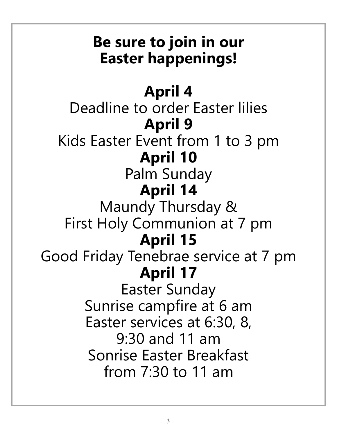# **Be sure to join in our Easter happenings!**

# **April 4**

Deadline to order Easter lilies **April 9** Kids Easter Event from 1 to 3 pm **April 10**

# Palm Sunday **April 14**

Maundy Thursday & First Holy Communion at 7 pm **April 15**

Good Friday Tenebrae service at 7 pm **April 17**

Easter Sunday Sunrise campfire at 6 am Easter services at 6:30, 8, 9:30 and 11 am Sonrise Easter Breakfast from 7:30 to 11 am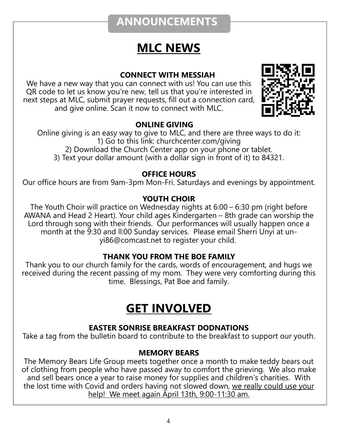### **ANNOUNCEMENTS**

### **MLC NEWS**

#### **CONNECT WITH MESSIAH**

We have a new way that you can connect with us! You can use this QR code to let us know you're new, tell us that you're interested in next steps at MLC, submit prayer requests, fill out a connection card, and give online. Scan it now to connect with MLC.



#### **ONLINE GIVING**

Online giving is an easy way to give to MLC, and there are three ways to do it: 1) Go to this link: churchcenter.com/giving 2) Download the Church Center app on your phone or tablet. 3) Text your dollar amount (with a dollar sign in front of it) to 84321.

#### **OFFICE HOURS**

Our office hours are from 9am-3pm Mon-Fri. Saturdays and evenings by appointment.

#### **YOUTH CHOIR**

The Youth Choir will practice on Wednesday nights at 6:00 – 6:30 pm (right before AWANA and Head 2 Heart). Your child ages Kindergarten – 8th grade can worship the Lord through song with their friends. Our performances will usually happen once a month at the 9:30 and ll:00 Sunday services. Please email Sherri Unyi at unyi86@comcast.net to register your child.

#### **THANK YOU FROM THE BOE FAMILY**

Thank you to our church family for the cards, words of encouragement, and hugs we received during the recent passing of my mom. They were very comforting during this time. Blessings, Pat Boe and family.

### **GET INVOLVED**

#### **EASTER SONRISE BREAKFAST DODNATIONS**

Take a tag from the bulletin board to contribute to the breakfast to support our youth.

#### **MEMORY BEARS**

The Memory Bears Life Group meets together once a month to make teddy bears out of clothing from people who have passed away to comfort the grieving. We also make and sell bears once a year to raise money for supplies and children's charities. With the lost time with Covid and orders having not slowed down, we really could use your help! We meet again April 13th, 9:00-11:30 am.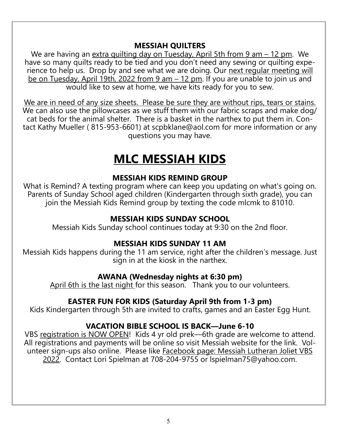#### **MESSIAH QUILTERS**

We are having an extra quilting day on Tuesday, April 5th from 9 am – 12 pm. We have so many quilts ready to be tied and you don't need any sewing or quilting experience to help us. Drop by and see what we are doing. Our next regular meeting will be on Tuesday, April 19th, 2022 from 9 am – 12 pm. If you are unable to join us and would like to sew at home, we have kits ready for you to sew.

We are in need of any size sheets. Please be sure they are without rips, tears or stains. We can also use the pillowcases as we stuff them with our fabric scraps and make dog/ cat beds for the animal shelter. There is a basket in the narthex to put them in. Contact Kathy Mueller ( 815-953-6601) at scpbklane@aol.com for more information or any questions you may have.

### **MLC MESSIAH KIDS**

#### **MESSIAH KIDS REMIND GROUP**

What is Remind? A texting program where can keep you updating on what's going on. Parents of Sunday School aged children (Kindergarten through sixth grade), you can join the Messiah Kids Remind group by texting the code mlcmk to 81010.

#### **MESSIAH KIDS SUNDAY SCHOOL**

Messiah Kids Sunday school continues today at 9:30 on the 2nd floor.

#### **MESSIAH KIDS SUNDAY 11 AM**

Messiah Kids happens during the 11 am service, right after the children's message. Just sign in at the kiosk in the narthex.

#### **AWANA (Wednesday nights at 6:30 pm)**

April 6th is the last night for this season. Thank you to our volunteers.

#### **EASTER FUN FOR KIDS (Saturday April 9th from 1-3 pm)**

Kids Kindergarten through 5th are invited to crafts, games and an Easter Egg Hunt.

#### **VACATION BIBLE SCHOOL IS BACK—June 6-10**

VBS registration is NOW OPEN! Kids 4 yr old prek—6th grade are welcome to attend. All registrations and payments will be online so visit Messiah website for the link. Volunteer sign-ups also online. Please like Facebook page: Messiah Lutheran Joliet VBS 2022. Contact Lori Spielman at 708-204-9755 or lspielman75@yahoo.com.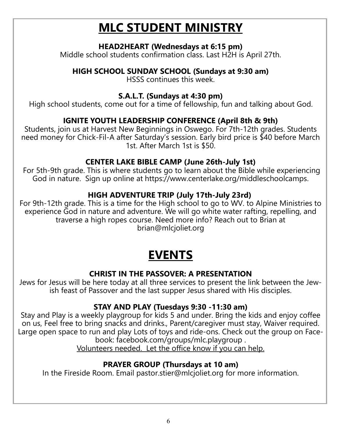# **MLC STUDENT MINISTRY**

#### **HEAD2HEART (Wednesdays at 6:15 pm)**

Middle school students confirmation class. Last H2H is April 27th.

#### **HIGH SCHOOL SUNDAY SCHOOL (Sundays at 9:30 am)**

HSSS continues this week.

#### **S.A.L.T. (Sundays at 4:30 pm)**

High school students, come out for a time of fellowship, fun and talking about God.

#### **IGNITE YOUTH LEADERSHIP CONFERENCE (April 8th & 9th)**

Students, join us at Harvest New Beginnings in Oswego. For 7th-12th grades. Students need money for Chick-Fil-A after Saturday's session. Early bird price is \$40 before March 1st. After March 1st is \$50.

#### **CENTER LAKE BIBLE CAMP (June 26th-July 1st)**

For 5th-9th grade. This is where students go to learn about the Bible while experiencing God in nature. Sign up online at https://www.centerlake.org/middleschoolcamps.

#### **HIGH ADVENTURE TRIP (July 17th-July 23rd)**

For 9th-12th grade. This is a time for the High school to go to WV. to Alpine Ministries to experience God in nature and adventure. We will go white water rafting, repelling, and traverse a high ropes course. Need more info? Reach out to Brian at brian@mlcjoliet.org

# **EVENTS**

#### **CHRIST IN THE PASSOVER: A PRESENTATION**

Jews for Jesus will be here today at all three services to present the link between the Jewish feast of Passover and the last supper Jesus shared with His disciples.

#### **STAY AND PLAY (Tuesdays 9:30 -11:30 am)**

Stay and Play is a weekly playgroup for kids 5 and under. Bring the kids and enjoy coffee on us, Feel free to bring snacks and drinks., Parent/caregiver must stay, Waiver required. Large open space to run and play Lots of toys and ride-ons. Check out the group on Facebook: facebook.com/groups/mlc.playgroup .

Volunteers needed. Let the office know if you can help.

#### **PRAYER GROUP (Thursdays at 10 am)**

In the Fireside Room. Email pastor.stier@mlcjoliet.org for more information.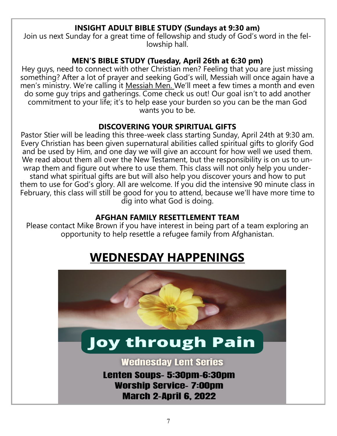#### **INSIGHT ADULT BIBLE STUDY (Sundays at 9:30 am)**

Join us next Sunday for a great time of fellowship and study of God's word in the fellowship hall.

#### **MEN'S BIBLE STUDY (Tuesday, April 26th at 6:30 pm)**

Hey guys, need to connect with other Christian men? Feeling that you are just missing something? After a lot of prayer and seeking God's will, Messiah will once again have a men's ministry. We're calling it Messiah Men. We'll meet a few times a month and even do some guy trips and gatherings. Come check us out! Our goal isn't to add another commitment to your life; it's to help ease your burden so you can be the man God wants you to be.

#### **DISCOVERING YOUR SPIRITUAL GIFTS**

Pastor Stier will be leading this three-week class starting Sunday, April 24th at 9:30 am. Every Christian has been given supernatural abilities called spiritual gifts to glorify God and be used by Him, and one day we will give an account for how well we used them. We read about them all over the New Testament, but the responsibility is on us to unwrap them and figure out where to use them. This class will not only help you understand what spiritual gifts are but will also help you discover yours and how to put them to use for God's glory. All are welcome. If you did the intensive 90 minute class in February, this class will still be good for you to attend, because we'll have more time to dig into what God is doing.

#### **AFGHAN FAMILY RESETTLEMENT TEAM**

Please contact Mike Brown if you have interest in being part of a team exploring an opportunity to help resettle a refugee family from Afghanistan.

# **WEDNESDAY HAPPENINGS**